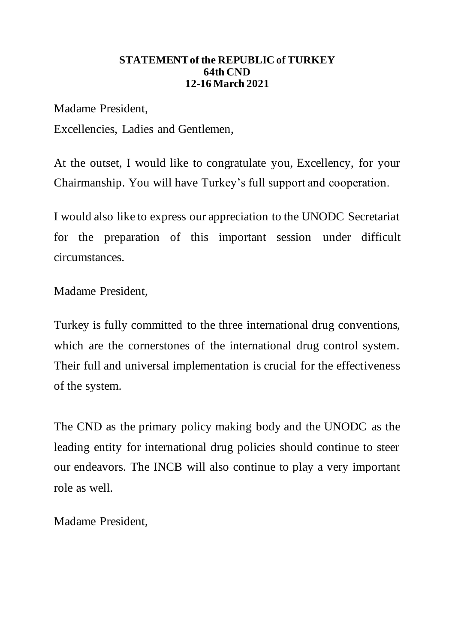## **STATEMENT of the REPUBLIC of TURKEY 64th CND 12-16 March 2021**

Madame President,

Excellencies, Ladies and Gentlemen,

At the outset, I would like to congratulate you, Excellency, for your Chairmanship. You will have Turkey's full support and cooperation.

I would also like to express our appreciation to the UNODC Secretariat for the preparation of this important session under difficult circumstances.

Madame President,

Turkey is fully committed to the three international drug conventions, which are the cornerstones of the international drug control system. Their full and universal implementation is crucial for the effectiveness of the system.

The CND as the primary policy making body and the UNODC as the leading entity for international drug policies should continue to steer our endeavors. The INCB will also continue to play a very important role as well.

Madame President,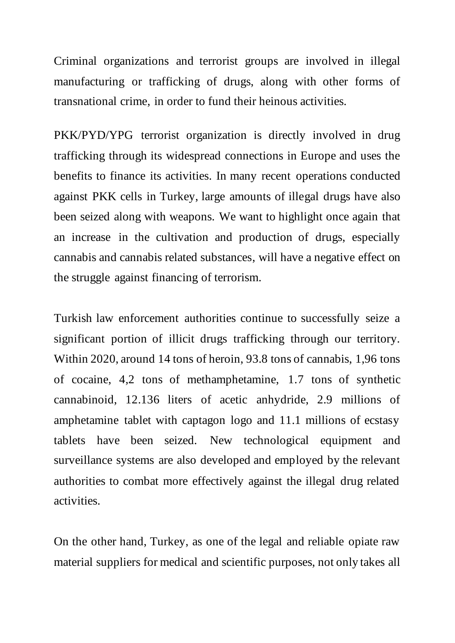Criminal organizations and terrorist groups are involved in illegal manufacturing or trafficking of drugs, along with other forms of transnational crime, in order to fund their heinous activities.

PKK/PYD/YPG terrorist organization is directly involved in drug trafficking through its widespread connections in Europe and uses the benefits to finance its activities. In many recent operations conducted against PKK cells in Turkey, large amounts of illegal drugs have also been seized along with weapons. We want to highlight once again that an increase in the cultivation and production of drugs, especially cannabis and cannabis related substances, will have a negative effect on the struggle against financing of terrorism.

Turkish law enforcement authorities continue to successfully seize a significant portion of illicit drugs trafficking through our territory. Within 2020, around 14 tons of heroin, 93.8 tons of cannabis, 1,96 tons of cocaine, 4,2 tons of methamphetamine, 1.7 tons of synthetic cannabinoid, 12.136 liters of acetic anhydride, 2.9 millions of amphetamine tablet with captagon logo and 11.1 millions of ecstasy tablets have been seized. New technological equipment and surveillance systems are also developed and employed by the relevant authorities to combat more effectively against the illegal drug related activities.

On the other hand, Turkey, as one of the legal and reliable opiate raw material suppliers for medical and scientific purposes, not only takes all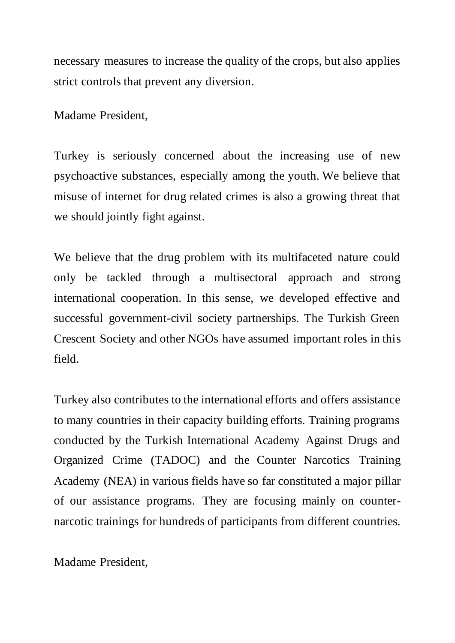necessary measures to increase the quality of the crops, but also applies strict controls that prevent any diversion.

Madame President,

Turkey is seriously concerned about the increasing use of new psychoactive substances, especially among the youth. We believe that misuse of internet for drug related crimes is also a growing threat that we should jointly fight against.

We believe that the drug problem with its multifaceted nature could only be tackled through a multisectoral approach and strong international cooperation. In this sense, we developed effective and successful government-civil society partnerships. The Turkish Green Crescent Society and other NGOs have assumed important roles in this field.

Turkey also contributes to the international efforts and offers assistance to many countries in their capacity building efforts. Training programs conducted by the Turkish International Academy Against Drugs and Organized Crime (TADOC) and the Counter Narcotics Training Academy (NEA) in various fields have so far constituted a major pillar of our assistance programs. They are focusing mainly on counternarcotic trainings for hundreds of participants from different countries.

Madame President,